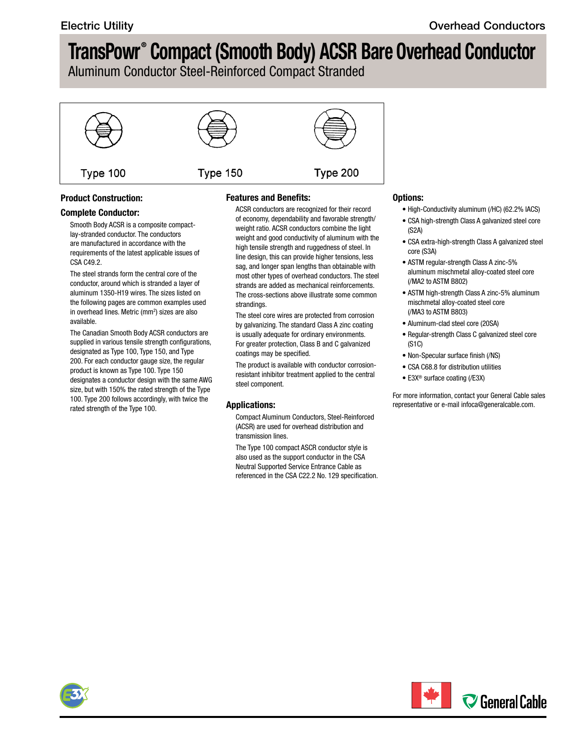## **TransPowr® Compact (Smooth Body) ACSR Bare Overhead Conductor**

Aluminum Conductor Steel-Reinforced Compact Stranded



### **Product Construction:**

#### **Complete Conductor:**

Smooth Body ACSR is a composite compactlay-stranded conductor. The conductors are manufactured in accordance with the requirements of the latest applicable issues of CSA C49.2.

The steel strands form the central core of the conductor, around which is stranded a layer of aluminum 1350-H19 wires. The sizes listed on the following pages are common examples used in overhead lines. Metric (mm<sup>2</sup>) sizes are also available.

The Canadian Smooth Body ACSR conductors are supplied in various tensile strength configurations, designated as Type 100, Type 150, and Type 200. For each conductor gauge size, the regular product is known as Type 100. Type 150 designates a conductor design with the same AWG size, but with 150% the rated strength of the Type 100. Type 200 follows accordingly, with twice the rated strength of the Type 100.

### **Features and Benefits:**

ACSR conductors are recognized for their record of economy, dependability and favorable strength/ weight ratio. ACSR conductors combine the light weight and good conductivity of aluminum with the high tensile strength and ruggedness of steel. In line design, this can provide higher tensions, less sag, and longer span lengths than obtainable with most other types of overhead conductors. The steel strands are added as mechanical reinforcements. The cross-sections above illustrate some common strandings.

The steel core wires are protected from corrosion by galvanizing. The standard Class A zinc coating is usually adequate for ordinary environments. For greater protection, Class B and C galvanized coatings may be specified.

The product is available with conductor corrosionresistant inhibitor treatment applied to the central steel component.

### **Applications:**

Compact Aluminum Conductors, Steel-Reinforced (ACSR) are used for overhead distribution and transmission lines.

The Type 100 compact ASCR conductor style is also used as the support conductor in the CSA Neutral Supported Service Entrance Cable as referenced in the CSA C22.2 No. 129 specification.

#### **Options:**

- High-Conductivity aluminum (/HC) (62.2% IACS)
- CSA high-strength Class A galvanized steel core (S2A)
- CSA extra-high-strength Class A galvanized steel core (S3A)
- ASTM regular-strength Class A zinc-5% aluminum mischmetal alloy-coated steel core (/MA2 to ASTM B802)
- ASTM high-strength Class A zinc-5% aluminum mischmetal alloy-coated steel core (/MA3 to ASTM B803)
- Aluminum-clad steel core (20SA)
- Regular-strength Class C galvanized steel core (S1C)
- Non-Specular surface finish (/NS)
- CSA C68.8 for distribution utilities
- E3X® surface coating (/E3X)

For more information, contact your General Cable sales representative or e-mail [infoca@generalcable.com.](mailto:infoca@generalcable.com)



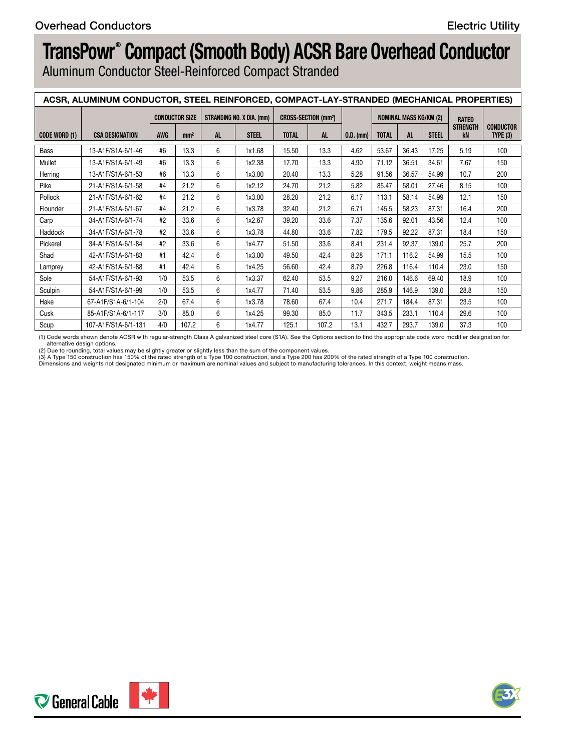# **TransPowr® Compact (Smooth Body) ACSR Bare Overhead Conductor**

Aluminum Conductor Steel-Reinforced Compact Stranded

| ACSR, ALUMINUM CONDUCTOR, STEEL REINFORCED, COMPACT-LAY-STRANDED (MECHANICAL PROPERTIES) |                        |     |                 |                                            |              |                                       |       |                   |                               |             |              |                       |                      |
|------------------------------------------------------------------------------------------|------------------------|-----|-----------------|--------------------------------------------|--------------|---------------------------------------|-------|-------------------|-------------------------------|-------------|--------------|-----------------------|----------------------|
|                                                                                          |                        |     |                 | CONDUCTOR SIZE   STRANDING NO. X DIA. (mm) |              | <b>CROSS-SECTION (mm<sup>2</sup>)</b> |       |                   | <b>NOMINAL MASS KG/KM (2)</b> |             |              | <b>RATED</b>          |                      |
| CODE WORD (1)                                                                            | <b>CSA DESIGNATION</b> | AWG | mm <sup>2</sup> |                                            | <b>STEEL</b> | <b>TOTAL</b>                          |       | $\vert$ 0.D. (mm) | <b>TOTAL</b>                  | AL.         | <b>STEEL</b> | <b>STRENGTH</b><br>kN | CONDUCTOR<br>TYPE(3) |
| Bass                                                                                     | 13-A1F/S1A-6/1-46      | #6  | 13.3            |                                            | 1x1.68       | 15.50                                 | 13.3  | 4.62              | 53.67                         | 36.43       | 17.25        | 5.19                  | 100                  |
| Mullet                                                                                   | 13-A1F/S1A-6/1-49      | #6  | 13.3            |                                            | 1x2.38       | 17.70                                 | 13.3  | 4.90              | 71.12 36.51                   |             | 34.61        | 7.67                  | 150                  |
| Herring                                                                                  | 13-A1F/S1A-6/1-53      |     | 13.3            |                                            | 1x3.00       | 20.40                                 | 13.3  | 5.28              | 91.56                         | 36.57       | 54.99        | 10.7                  | 200                  |
| Pike                                                                                     | 21-A1F/S1A-6/1-58      |     | 21.2            |                                            | 1x2.12       | 24.70                                 | 21.2  | 5.82              | 85.47                         | 58.01       | 27.46        | 8.15                  | 100                  |
| Pollock                                                                                  | 21-A1F/S1A-6/1-62      |     | 21.2            |                                            | 1x3.00       | 28.20                                 | 21.2  | 6.17              | 113.1                         | 58.14       | 54.99        | 12.1                  | 150                  |
| Flounder                                                                                 | 21-A1F/S1A-6/1-67      |     | 21.2            |                                            | 1x3.78       | 32.40                                 | 21.2  | 6.71              | 145.5                         | 58.23       | 87.31        | 16.4                  | 200                  |
| Carp                                                                                     | 34-A1F/S1A-6/1-74      |     | 33.6            |                                            | 1x2.67       | 39.20                                 | 33.6  | 7.37              |                               | 135.6 92.01 | 43.56        | 12.4                  | 100                  |
| Haddock                                                                                  | 34-A1F/S1A-6/1-78      |     | 33.6            |                                            | 1x3.78       | 44.80                                 | 33.6  | 7.82              | 179.5                         | 92.22       | 87.31        | 18.4                  | 150                  |
| Pickerel                                                                                 | 34-A1F/S1A-6/1-84      |     | 33.6            |                                            | 1x4.77       | 51.50                                 | 33.6  | 8.41              | 231.4                         | 92.37       | 139.0        | 25.7                  | 200                  |
| Shad                                                                                     | 42-A1F/S1A-6/1-83      |     | 42.4            |                                            | 1x3.00       | 49.50                                 | 42.4  | 8.28              | 171.1                         | 116.2       | 54.99        | 15.5                  | 100                  |
| Lamprey                                                                                  | 42-A1F/S1A-6/1-88      |     | 42.4            |                                            | 1x4.25       | 56.60                                 | 42.4  | 8.79              | 226.8                         | 116.4       | 110.4        | 23.0                  | 150                  |
| Sole                                                                                     | 54-A1F/S1A-6/1-93      | 1/0 | 53.5            |                                            | 1x3.37       | 62.40                                 | 53.5  | 9.27              | 216.0                         | 146.6       | 69.40        | 18.9                  | 100                  |
| Sculpin                                                                                  | 54-A1F/S1A-6/1-99      |     | 53.5            |                                            | 1x4.77       | 71.40                                 | 53.5  | 9.86              | 285.9                         | 146.9       | 139.0        | 28.8                  | 150                  |
| Hake                                                                                     | 67-A1F/S1A-6/1-104     | 2/0 | 67.4            |                                            | 1x3.78       | 78.60                                 | 67.4  | 10.4              | 271.7                         | 184.4       | 87.31        | 23.5                  | 100                  |
| Cusk                                                                                     | 85-A1F/S1A-6/1-117     | 3/0 | 85.0            |                                            | 1x4.25       | 99.30                                 | 85.0  | 11.7              | 343.5                         | 233.1       | 110.4        | 29.6                  | 100                  |
| Scup                                                                                     | 107-A1F/S1A-6/1-131    | 4/0 | 107.2           |                                            | 1x4.77       | 125.1                                 | 107.2 | 13.1              | 432.7                         | 293.7       | 139.0        | 37.3                  | 100                  |

(1) Code words shown denote ACSR with regular-strength Class A galvanized steel core (S1A). See the Options section to find the appropriate code word modifier designation for alternative design options.

(2) Due to rounding, total values may be slightly greater or slightly less than the sum of the component values.<br>(3) A Type 150 construction has 150% of the rated strength of a Type 100 construction, and a Type 900 constru